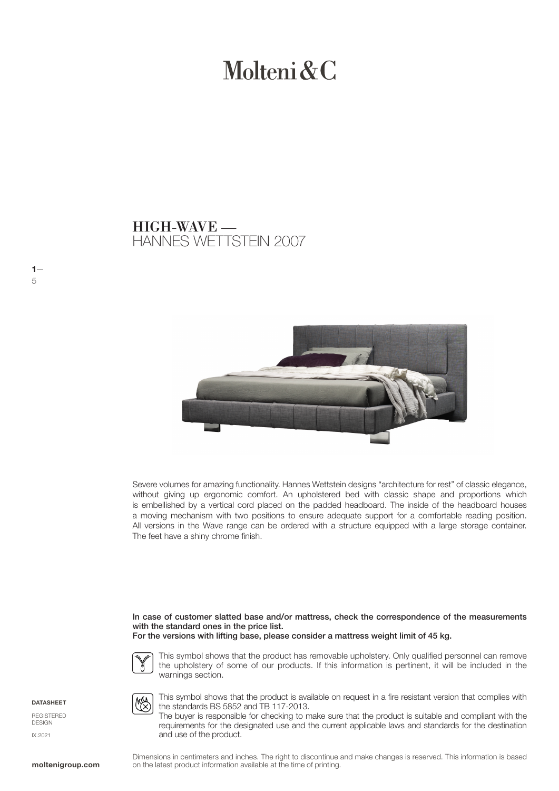# Molteni  $\&C$

### HANNES WETTSTEIN 2007 HIGH-WAVE —



Severe volumes for amazing functionality. Hannes Wettstein designs "architecture for rest" of classic elegance, without giving up ergonomic comfort. An upholstered bed with classic shape and proportions which is embellished by a vertical cord placed on the padded headboard. The inside of the headboard houses a moving mechanism with two positions to ensure adequate support for a comfortable reading position. All versions in the Wave range can be ordered with a structure equipped with a large storage container. The feet have a shiny chrome finish.

In case of customer slatted base and/or mattress, check the correspondence of the measurements with the standard ones in the price list. For the versions with lifting base, please consider a mattress weight limit of 45 kg.



**MAA** 

This symbol shows that the product has removable upholstery. Only qualified personnel can remove the upholstery of some of our products. If this information is pertinent, it will be included in the warnings section.



 $1-$ 

5

**REGISTERED** DESIGN IX.2021

This symbol shows that the product is available on request in a fire resistant version that complies with the standards BS 5852 and TB 117-2013.

The buyer is responsible for checking to make sure that the product is suitable and compliant with the requirements for the designated use and the current applicable laws and standards for the destination and use of the product.

Dimensions in centimeters and inches. The right to discontinue and make changes is reserved. This information is based **moltenigroup.com** on the latest product information available at the time of printing.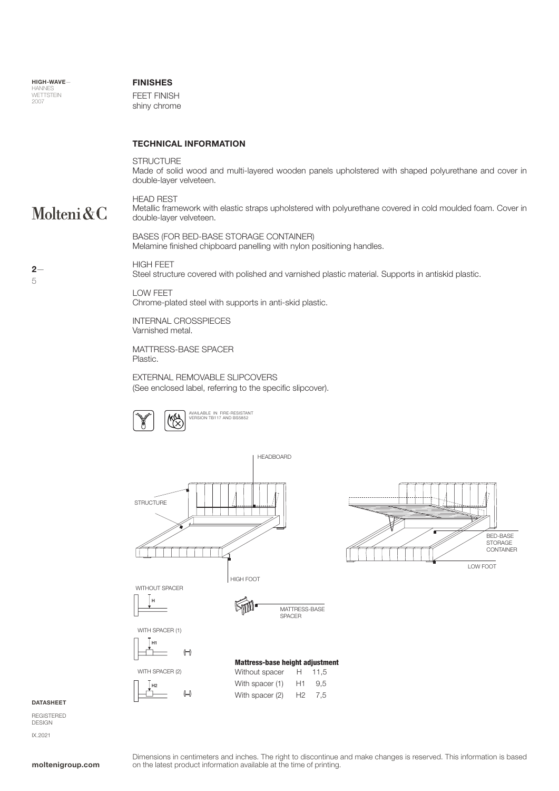### FINISHES

FEET FINISH shiny chrome

### TECHNICAL INFORMATION

STRUCTURE Made of solid wood and multi-layered wooden panels upholstered with shaped polyurethane and cover in double-layer velveteen.

### Molteni&C

 $2-$ 

5

HEAD REST Metallic framework with elastic straps upholstered with polyurethane covered in cold moulded foam. Cover in double-layer velveteen.

BASES (FOR BED-BASE STORAGE CONTAINER) Melamine finished chipboard panelling with nylon positioning handles.

### HIGH FEET

Steel structure covered with polished and varnished plastic material. Supports in antiskid plastic.

LOW FEET Chrome-plated steel with supports in anti-skid plastic. INTERNAL CROSSPIECES

Varnished metal.

MATTRESS-BASE SPACER Plastic.

EXTERNAL REMOVABLE SLIPCOVERS (See enclosed label, referring to the specific slipcover).







**DATASHEET** 

REGISTERED DESIGN IX.2021

### Dimensions in centimeters and inches. The right to discontinue and make changes is reserved. This information is based **moltenigroup.com** on the latest product information available at the time of printing.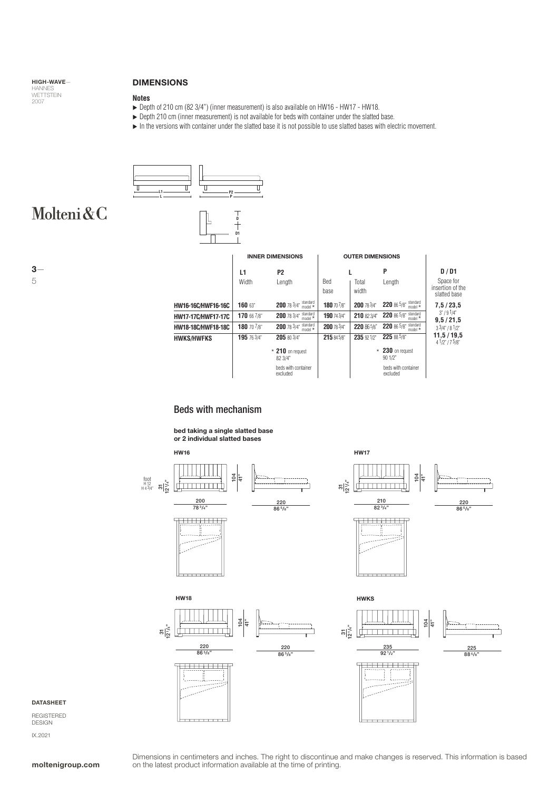### HIGH-WAVE— HANNES<br>WETTSTEIN<br>2007

### DIMENSIONS

#### **Notes**

▶ Depth of 210 cm (82 3/4") (inner measurement) is also available on HW16 - HW17 - HW18.

**D D1**

- ▶ Depth 210 cm (inner measurement) is not available for beds with container under the slatted base.
- In the versions with container under the slatted base it is not possible to use slatted bases with electric movement.



## Molteni&C

3—

5

|                           | <b>INNER DIMENSIONS</b> |                                                        | <b>OUTER DIMENSIONS</b> |                |                                   |                                               |
|---------------------------|-------------------------|--------------------------------------------------------|-------------------------|----------------|-----------------------------------|-----------------------------------------------|
|                           | L1                      | P2                                                     |                         |                | P                                 | D/D1                                          |
|                           | Width                   | Length                                                 | Bed<br>base             | Total<br>width | Length                            | Space for<br>insertion of the<br>slatted base |
| HW16-16C/HWF16-16C        | 160 63"                 | 200 78 3/4" standard                                   | 180 70 7/8"             | 200 78 3/4"    | 220 86 5/8" standard              | 7,5/23,5                                      |
| <b>HW17-17C/HWF17-17C</b> | 170 66 7/8"             | 200 78 3/4" standard                                   | 190 74 3/4"             | 210 82 3/4"    | 220 86 5/8" standard<br>model $*$ | 3" / 91/4"<br>9,5/21,5<br>33/4" / 81/2"       |
| HW18-18C/HWF18-18C        | 180 70 7/8"             | <b>200</b> 78 $3/4$ <sup>"</sup> standard<br>$model *$ | 200 78 3/4"             | 220 86 5/8"    | 220 86 5/8" standard<br>model $*$ |                                               |
| <b>HWKS/HWFKS</b>         | 195 76 3/4"             | 205 80 3/4"                                            | 215 845/8"              | 235 921/2"     | 225 88 5/8"                       | 11,5/19,5<br>4 1/2" / 7 5/8"                  |
|                           |                         | $*$ 210 on request<br>82 3/4"                          |                         |                | $\star$ 230 on request<br>90 1/2" |                                               |
|                           |                         | beds with container<br>excluded                        |                         |                | beds with container<br>excluded   |                                               |

### Beds with mechanism

bed taking a single slatted base or 2 individual slatted bases



#### DATASHEET

REGISTERED DESIGN IX.2021

Dimensions in centimeters and inches. The right to discontinue and make changes is reserved. This information is based **moltenigroup.com** on the latest product information available at the time of printing.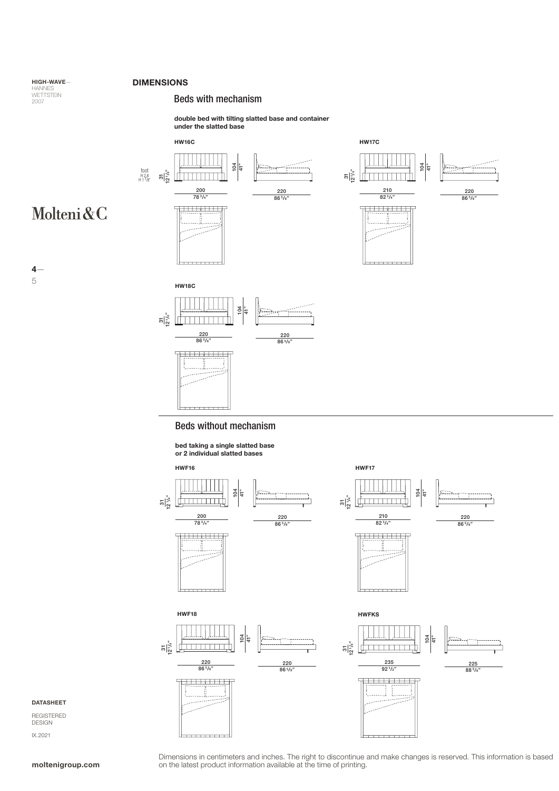### DIMENSIONS

### Beds with mechanism

double bed with tilting slatted base and container under the slatted base



bed taking a single slatted base or 2 individual slatted bases



 $4-$ 

Molteni&C

5

HIGH-WAVE— HANNES<br>WETTSTEIN<br>2007

DATASHEET

REGISTERED DESIGN IX.2021

Dimensions in centimeters and inches. The right to discontinue and make changes is reserved. This information is based<br>
on the latest product information available at the time of printing.